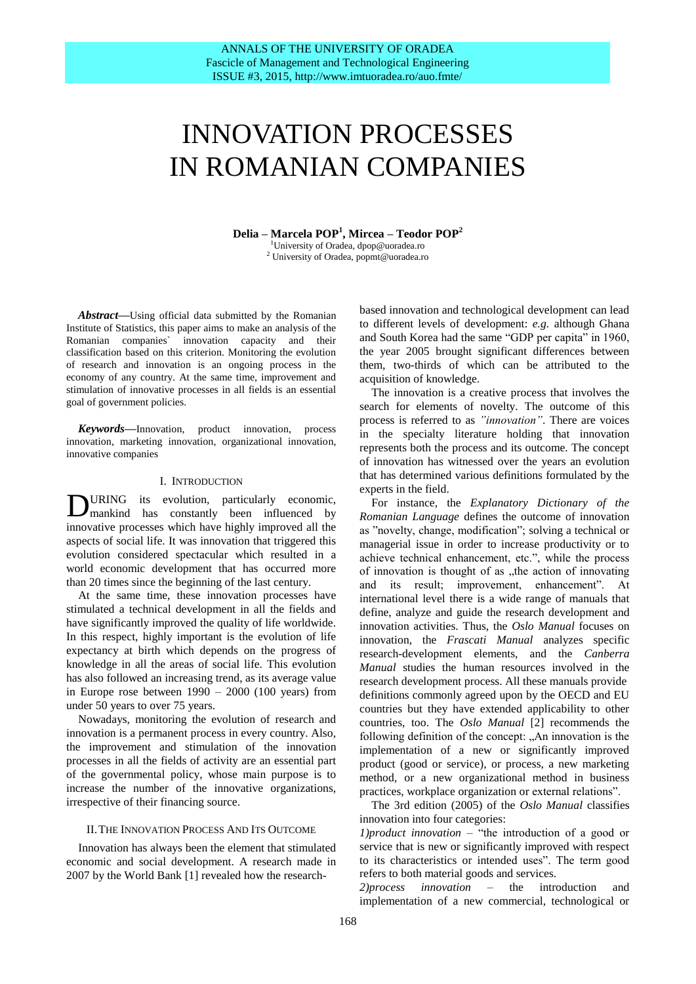# INNOVATION PROCESSES IN ROMANIAN COMPANIES

**Delia – Marcela POP<sup>1</sup> , Mircea – Teodor POP<sup>2</sup>** <sup>1</sup>University of Oradea, dpop@uoradea.ro <sup>2</sup> University of Oradea[, popmt@uoradea.ro](mailto:popmt@uoradea.ro)

*Abstract***—**Using official data submitted by the Romanian Institute of Statistics, this paper aims to make an analysis of the Romanian companies` innovation capacity and their classification based on this criterion. Monitoring the evolution of research and innovation is an ongoing process in the economy of any country. At the same time, improvement and stimulation of innovative processes in all fields is an essential goal of government policies.

*Keywords***—**Innovation, product innovation, process innovation, marketing innovation, organizational innovation, innovative companies

#### I. INTRODUCTION

URING its evolution, particularly economic, DURING its evolution, particularly economic, mankind has constantly been influenced by innovative processes which have highly improved all the aspects of social life. It was innovation that triggered this evolution considered spectacular which resulted in a world economic development that has occurred more than 20 times since the beginning of the last century.

At the same time, these innovation processes have stimulated a technical development in all the fields and have significantly improved the quality of life worldwide. In this respect, highly important is the evolution of life expectancy at birth which depends on the progress of knowledge in all the areas of social life. This evolution has also followed an increasing trend, as its average value in Europe rose between 1990 – 2000 (100 years) from under 50 years to over 75 years.

Nowadays, monitoring the evolution of research and innovation is a permanent process in every country. Also, the improvement and stimulation of the innovation processes in all the fields of activity are an essential part of the governmental policy, whose main purpose is to increase the number of the innovative organizations, irrespective of their financing source.

#### II.THE INNOVATION PROCESS AND ITS OUTCOME

Innovation has always been the element that stimulated economic and social development. A research made in 2007 by the World Bank [1] revealed how the researchbased innovation and technological development can lead to different levels of development: *e.g.* although Ghana and South Korea had the same "GDP per capita" in 1960, the year 2005 brought significant differences between them, two-thirds of which can be attributed to the acquisition of knowledge.

The innovation is a creative process that involves the search for elements of novelty. The outcome of this process is referred to as *"innovation"*. There are voices in the specialty literature holding that innovation represents both the process and its outcome. The concept of innovation has witnessed over the years an evolution that has determined various definitions formulated by the experts in the field.

For instance, the *Explanatory Dictionary of the Romanian Language* defines the outcome of innovation as "novelty, change, modification"; solving a technical or managerial issue in order to increase productivity or to achieve technical enhancement, etc.", while the process of innovation is thought of as "the action of innovating and its result; improvement, enhancement". At international level there is a wide range of manuals that define, analyze and guide the research development and innovation activities. Thus, the *Oslo Manual* focuses on innovation, the *Frascati Manual* analyzes specific research-development elements, and the *Canberra Manual* studies the human resources involved in the research development process. All these manuals provide definitions commonly agreed upon by the OECD and EU countries but they have extended applicability to other countries, too. The *Oslo Manual* [2] recommends the following definition of the concept: "An innovation is the implementation of a new or significantly improved product (good or service), or process, a new marketing method, or a new organizational method in business practices, workplace organization or external relations".

The 3rd edition (2005) of the *Oslo Manual* classifies innovation into four categories:

*1)product innovation* – "the introduction of a good or service that is new or significantly improved with respect to its characteristics or intended uses". The term good refers to both material goods and services.

*2)process innovation* – the introduction and implementation of a new commercial, technological or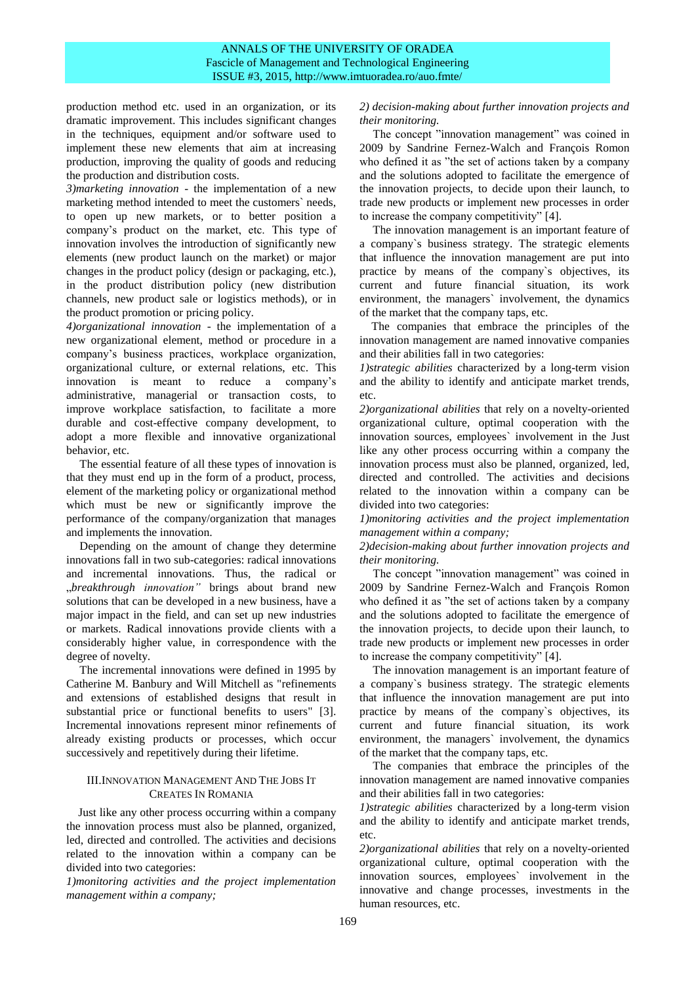production method etc. used in an organization, or its dramatic improvement. This includes significant changes in the techniques, equipment and/or software used to implement these new elements that aim at increasing production, improving the quality of goods and reducing the production and distribution costs.

*3)marketing innovation* - the implementation of a new marketing method intended to meet the customers` needs, to open up new markets, or to better position a company's product on the market, etc. This type of innovation involves the introduction of significantly new elements (new product launch on the market) or major changes in the product policy (design or packaging, etc.), in the product distribution policy (new distribution channels, new product sale or logistics methods), or in the product promotion or pricing policy.

*4)organizational innovation* - the implementation of a new organizational element, method or procedure in a company's business practices, workplace organization, organizational culture, or external relations, etc. This innovation is meant to reduce a company's administrative, managerial or transaction costs, to improve workplace satisfaction, to facilitate a more durable and cost-effective company development, to adopt a more flexible and innovative organizational behavior, etc.

The essential feature of all these types of innovation is that they must end up in the form of a product, process, element of the marketing policy or organizational method which must be new or significantly improve the performance of the company/organization that manages and implements the innovation.

Depending on the amount of change they determine innovations fall in two sub-categories: radical innovations and incremental innovations. Thus, the radical or "*breakthrough innovation"* brings about brand new solutions that can be developed in a new business, have a major impact in the field, and can set up new industries or markets. Radical innovations provide clients with a considerably higher value, in correspondence with the degree of novelty.

The incremental innovations were defined in 1995 by Catherine M. Banbury and Will Mitchell as "refinements and extensions of established designs that result in substantial price or functional benefits to users" [3]. Incremental innovations represent minor refinements of already existing products or processes, which occur successively and repetitively during their lifetime.

# III.INNOVATION MANAGEMENT AND THE JOBS IT CREATES IN ROMANIA

Just like any other process occurring within a company the innovation process must also be planned, organized, led, directed and controlled. The activities and decisions related to the innovation within a company can be divided into two categories:

*1)monitoring activities and the project implementation management within a company;*

# *2) decision-making about further innovation projects and their monitoring.*

The concept "innovation management" was coined in 2009 by Sandrine Fernez-Walch and François Romon who defined it as "the set of actions taken by a company and the solutions adopted to facilitate the emergence of the innovation projects, to decide upon their launch, to trade new products or implement new processes in order to increase the company competitivity" [4].

The innovation management is an important feature of a company`s business strategy. The strategic elements that influence the innovation management are put into practice by means of the company`s objectives, its current and future financial situation, its work environment, the managers` involvement, the dynamics of the market that the company taps, etc.

The companies that embrace the principles of the innovation management are named innovative companies and their abilities fall in two categories:

*1)strategic abilities* characterized by a long-term vision and the ability to identify and anticipate market trends, etc.

*2)organizational abilities* that rely on a novelty-oriented organizational culture, optimal cooperation with the innovation sources, employees` involvement in the Just like any other process occurring within a company the innovation process must also be planned, organized, led, directed and controlled. The activities and decisions related to the innovation within a company can be divided into two categories:

*1)monitoring activities and the project implementation management within a company;*

*2)decision-making about further innovation projects and their monitoring.*

The concept "innovation management" was coined in 2009 by Sandrine Fernez-Walch and François Romon who defined it as "the set of actions taken by a company and the solutions adopted to facilitate the emergence of the innovation projects, to decide upon their launch, to trade new products or implement new processes in order to increase the company competitivity" [4].

The innovation management is an important feature of a company`s business strategy. The strategic elements that influence the innovation management are put into practice by means of the company`s objectives, its current and future financial situation, its work environment, the managers` involvement, the dynamics of the market that the company taps, etc.

The companies that embrace the principles of the innovation management are named innovative companies and their abilities fall in two categories:

*1)strategic abilities* characterized by a long-term vision and the ability to identify and anticipate market trends, etc.

*2)organizational abilities* that rely on a novelty-oriented organizational culture, optimal cooperation with the innovation sources, employees` involvement in the innovative and change processes, investments in the human resources, etc.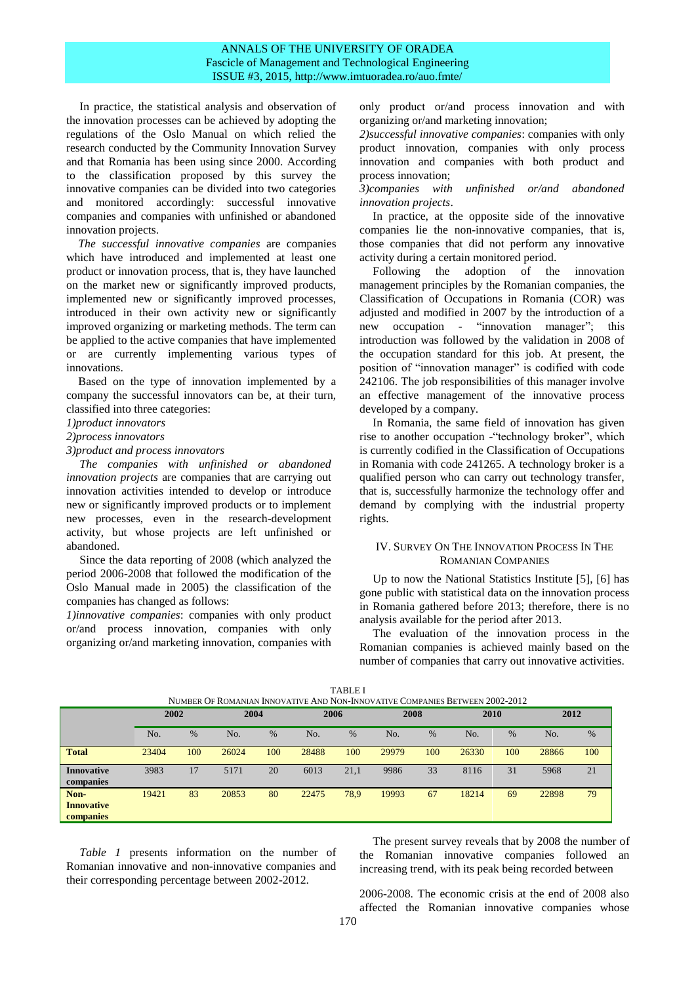# ANNALS OF THE UNIVERSITY OF ORADEA Fascicle of Management and Technological Engineering ISSUE #3, 2015, http://www.imtuoradea.ro/auo.fmte/

In practice, the statistical analysis and observation of the innovation processes can be achieved by adopting the regulations of the Oslo Manual on which relied the research conducted by the Community Innovation Survey and that Romania has been using since 2000. According to the classification proposed by this survey the innovative companies can be divided into two categories and monitored accordingly: successful innovative companies and companies with unfinished or abandoned innovation projects.

*The successful innovative companies* are companies which have introduced and implemented at least one product or innovation process, that is, they have launched on the market new or significantly improved products, implemented new or significantly improved processes, introduced in their own activity new or significantly improved organizing or marketing methods. The term can be applied to the active companies that have implemented or are currently implementing various types of innovations.

Based on the type of innovation implemented by a company the successful innovators can be, at their turn, classified into three categories:

*1)product innovators*

*2)process innovators*

*3)product and process innovators*

*The companies with unfinished or abandoned innovation projects* are companies that are carrying out innovation activities intended to develop or introduce new or significantly improved products or to implement new processes, even in the research-development activity, but whose projects are left unfinished or abandoned.

Since the data reporting of 2008 (which analyzed the period 2006-2008 that followed the modification of the Oslo Manual made in 2005) the classification of the companies has changed as follows:

*1)innovative companies*: companies with only product or/and process innovation, companies with only organizing or/and marketing innovation, companies with only product or/and process innovation and with organizing or/and marketing innovation;

*2)successful innovative companies*: companies with only product innovation, companies with only process innovation and companies with both product and process innovation;

*3)companies with unfinished or/and abandoned innovation projects*.

In practice, at the opposite side of the innovative companies lie the non-innovative companies, that is, those companies that did not perform any innovative activity during a certain monitored period.

Following the adoption of the innovation management principles by the Romanian companies, the Classification of Occupations in Romania (COR) was adjusted and modified in 2007 by the introduction of a new occupation - "innovation manager"; this introduction was followed by the validation in 2008 of the occupation standard for this job. At present, the position of "innovation manager" is codified with code 242106. The job responsibilities of this manager involve an effective management of the innovative process developed by a company.

In Romania, the same field of innovation has given rise to another occupation -"technology broker", which is currently codified in the Classification of Occupations in Romania with code 241265. A technology broker is a qualified person who can carry out technology transfer, that is, successfully harmonize the technology offer and demand by complying with the industrial property rights.

## IV. SURVEY ON THE INNOVATION PROCESS IN THE ROMANIAN COMPANIES

Up to now the National Statistics Institute [5], [6] has gone public with statistical data on the innovation process in Romania gathered before 2013; therefore, there is no analysis available for the period after 2013.

The evaluation of the innovation process in the Romanian companies is achieved mainly based on the number of companies that carry out innovative activities.

|                   | 2002  |     | 2004  |     | 2006  |      | 2008  |     | 2010  |      | 2012  |     |
|-------------------|-------|-----|-------|-----|-------|------|-------|-----|-------|------|-------|-----|
|                   | No.   | %   | No.   | %   | No.   | %    | No.   | %   | No.   | $\%$ | No.   | %   |
| <b>Total</b>      | 23404 | 100 | 26024 | 100 | 28488 | 100  | 29979 | 100 | 26330 | 100  | 28866 | 100 |
| <b>Innovative</b> | 3983  | 17  | 5171  | 20  | 6013  | 21,1 | 9986  | 33  | 8116  | 31   | 5968  | 21  |
| companies         |       |     |       |     |       |      |       |     |       |      |       |     |
| Non-              | 19421 | 83  | 20853 | 80  | 22475 | 78,9 | 19993 | 67  | 18214 | 69   | 22898 | 79  |
| <b>Innovative</b> |       |     |       |     |       |      |       |     |       |      |       |     |
| companies         |       |     |       |     |       |      |       |     |       |      |       |     |

#### TABLE I NUMBER OF ROMANIAN INNOVATIVE AND NON-INNOVATIVE COMPANIES BETWEEN 2002-2012

*Table 1* presents information on the number of Romanian innovative and non-innovative companies and their corresponding percentage between 2002-2012.

The present survey reveals that by 2008 the number of the Romanian innovative companies followed an increasing trend, with its peak being recorded between

2006-2008. The economic crisis at the end of 2008 also affected the Romanian innovative companies whose